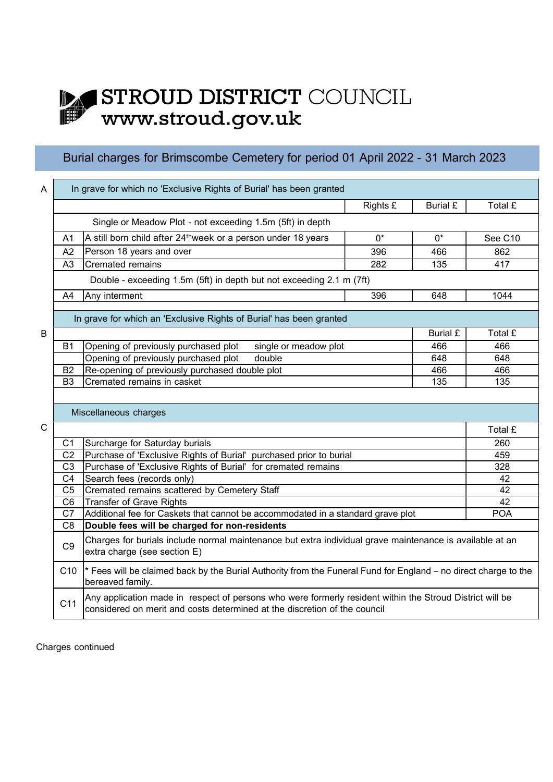## STROUD DISTRICT COUNCIL WWW.stroud.gov.uk DA

## Burial charges for Brimscombe Cemetery for period 01 April 2022 - 31 March 2023

| In grave for which no 'Exclusive Rights of Burial' has been granted<br>A                                                                                   |                                                                                 |                                                                                                      |                                                                                                          |                 |         |  |  |  |
|------------------------------------------------------------------------------------------------------------------------------------------------------------|---------------------------------------------------------------------------------|------------------------------------------------------------------------------------------------------|----------------------------------------------------------------------------------------------------------|-----------------|---------|--|--|--|
|                                                                                                                                                            |                                                                                 |                                                                                                      | Rights £                                                                                                 | <b>Burial £</b> | Total £ |  |  |  |
|                                                                                                                                                            |                                                                                 | Single or Meadow Plot - not exceeding 1.5m (5ft) in depth                                            |                                                                                                          |                 |         |  |  |  |
|                                                                                                                                                            | A <sub>1</sub>                                                                  | A still born child after 24 <sup>th</sup> week or a person under 18 years                            | $0^*$                                                                                                    | $0^*$           | See C10 |  |  |  |
|                                                                                                                                                            | A2                                                                              | Person 18 years and over                                                                             | 396                                                                                                      | 466             | 862     |  |  |  |
|                                                                                                                                                            | A <sub>3</sub>                                                                  | Cremated remains                                                                                     | 282                                                                                                      | 135             | 417     |  |  |  |
|                                                                                                                                                            |                                                                                 | Double - exceeding 1.5m (5ft) in depth but not exceeding 2.1 m (7ft)                                 |                                                                                                          |                 |         |  |  |  |
|                                                                                                                                                            | A4                                                                              | Any interment                                                                                        | 396                                                                                                      | 648             | 1044    |  |  |  |
|                                                                                                                                                            |                                                                                 |                                                                                                      |                                                                                                          |                 |         |  |  |  |
|                                                                                                                                                            |                                                                                 | In grave for which an 'Exclusive Rights of Burial' has been granted                                  |                                                                                                          |                 |         |  |  |  |
| B                                                                                                                                                          |                                                                                 |                                                                                                      |                                                                                                          | <b>Burial £</b> | Total £ |  |  |  |
|                                                                                                                                                            | B <sub>1</sub>                                                                  | Opening of previously purchased plot<br>single or meadow plot                                        |                                                                                                          |                 | 466     |  |  |  |
|                                                                                                                                                            |                                                                                 | Opening of previously purchased plot<br>double                                                       |                                                                                                          | 648<br>466      | 648     |  |  |  |
|                                                                                                                                                            | <b>B2</b>                                                                       | Re-opening of previously purchased double plot                                                       |                                                                                                          |                 | 466     |  |  |  |
|                                                                                                                                                            | B <sub>3</sub>                                                                  | Cremated remains in casket<br>135<br>135                                                             |                                                                                                          |                 |         |  |  |  |
|                                                                                                                                                            |                                                                                 |                                                                                                      |                                                                                                          |                 |         |  |  |  |
|                                                                                                                                                            |                                                                                 | Miscellaneous charges                                                                                |                                                                                                          |                 |         |  |  |  |
| $\mathsf{C}$                                                                                                                                               |                                                                                 |                                                                                                      |                                                                                                          |                 | Total £ |  |  |  |
|                                                                                                                                                            | C <sub>1</sub>                                                                  | Surcharge for Saturday burials<br>Purchase of 'Exclusive Rights of Burial' purchased prior to burial |                                                                                                          |                 |         |  |  |  |
|                                                                                                                                                            | C <sub>2</sub>                                                                  |                                                                                                      | 459                                                                                                      |                 |         |  |  |  |
|                                                                                                                                                            | Purchase of 'Exclusive Rights of Burial' for cremated remains<br>C <sub>3</sub> |                                                                                                      | 328                                                                                                      |                 |         |  |  |  |
|                                                                                                                                                            | C <sub>4</sub>                                                                  |                                                                                                      | 42                                                                                                       |                 |         |  |  |  |
|                                                                                                                                                            | C <sub>5</sub>                                                                  |                                                                                                      | 42                                                                                                       |                 |         |  |  |  |
|                                                                                                                                                            | C <sub>6</sub>                                                                  |                                                                                                      | 42                                                                                                       |                 |         |  |  |  |
|                                                                                                                                                            | C7                                                                              | Additional fee for Caskets that cannot be accommodated in a standard grave plot                      | <b>POA</b>                                                                                               |                 |         |  |  |  |
|                                                                                                                                                            | C <sub>8</sub>                                                                  | Double fees will be charged for non-residents                                                        |                                                                                                          |                 |         |  |  |  |
| Charges for burials include normal maintenance but extra individual grave maintenance is available at an<br>C <sub>9</sub><br>extra charge (see section E) |                                                                                 |                                                                                                      |                                                                                                          |                 |         |  |  |  |
| * Fees will be claimed back by the Burial Authority from the Funeral Fund for England - no direct charge to the<br>C <sub>10</sub><br>bereaved family.     |                                                                                 |                                                                                                      |                                                                                                          |                 |         |  |  |  |
|                                                                                                                                                            | C <sub>11</sub>                                                                 |                                                                                                      | Any application made in respect of persons who were formerly resident within the Stroud District will be |                 |         |  |  |  |
|                                                                                                                                                            |                                                                                 |                                                                                                      |                                                                                                          |                 |         |  |  |  |

Charges continued